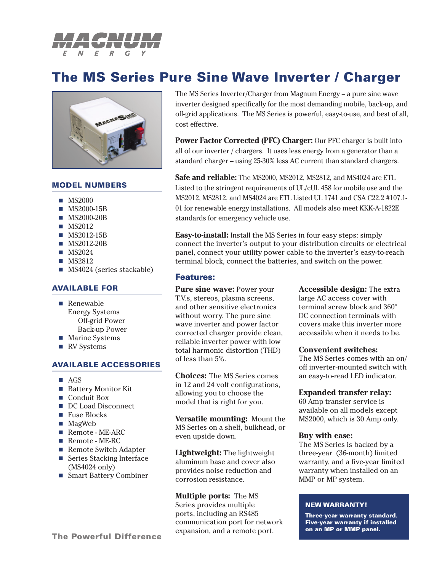

# **The MS Series Pure Sine Wave Inverter / Charger**



### **MODEL NUMBERS**

- $MS2000$
- MS2000-15B
- **MS2000-20B**
- **MS2012**
- **MS2012-15B**
- MS2012-20B
- $MS2024$
- **MS2812**
- **MS4024 (series stackable)**

### **AVAILABLE FOR**

- Renewable Energy Systems Off-grid Power Back-up Power
- **Marine Systems**
- RV Systems

## **AVAILABLE ACCESSORIES**

- **AGS**
- Battery Monitor Kit
- Conduit Box
- DC Load Disconnect
- Fuse Blocks
- MagWeb
- Remote ME-ARC
- Remote ME-RC
- Remote Switch Adapter
- Series Stacking Interface (MS4024 only)
- Smart Battery Combiner

The MS Series Inverter/Charger from Magnum Energy – a pure sine wave inverter designed specifically for the most demanding mobile, back-up, and off-grid applications. The MS Series is powerful, easy-to-use, and best of all, cost effective.

**Power Factor Corrected (PFC) Charger:** Our PFC charger is built into all of our inverter / chargers. It uses less energy from a generator than a standard charger – using 25-30% less AC current than standard chargers.

**Safe and reliable:** The MS2000, MS2012, MS2812, and MS4024 are ETL Listed to the stringent requirements of UL/cUL 458 for mobile use and the MS2012, MS2812, and MS4024 are ETL Listed UL 1741 and CSA C22.2 #107.1- 01 for renewable energy installations. All models also meet KKK-A-1822E standards for emergency vehicle use.

**Easy-to-install:** Install the MS Series in four easy steps: simply connect the inverter's output to your distribution circuits or electrical panel, connect your utility power cable to the inverter's easy-to-reach terminal block, connect the batteries, and switch on the power.

### **Features:**

**Pure sine wave:** Power your T.V.s, stereos, plasma screens, and other sensitive electronics without worry. The pure sine wave inverter and power factor corrected charger provide clean, reliable inverter power with low total harmonic distortion (THD) of less than 5%.

**Choices:** The MS Series comes in 12 and 24 volt configurations, allowing you to choose the model that is right for you.

**Versatile mounting:** Mount the MS Series on a shelf, bulkhead, or even upside down.

**Lightweight:** The lightweight aluminum base and cover also provides noise reduction and corrosion resistance.

**Multiple ports:** The MS Series provides multiple ports, including an RS485 communication port for network expansion, and a remote port.

**Accessible design:** The extra large AC access cover with terminal screw block and 360° DC connection terminals with covers make this inverter more accessible when it needs to be.

#### **Convenient switches:**

The MS Series comes with an on/ off inverter-mounted switch with an easy-to-read LED indicator.

#### **Expanded transfer relay:**

60 Amp transfer service is available on all models except MS2000, which is 30 Amp only.

#### **Buy with ease:**

The MS Series is backed by a three-year (36-month) limited warranty, and a five-year limited warranty when installed on an MMP or MP system.

#### **NEW WARRANTY!**

**Three-year warranty standard. Five-year warranty if installed on an MP or MMP panel.**

**The Powerful Difference**